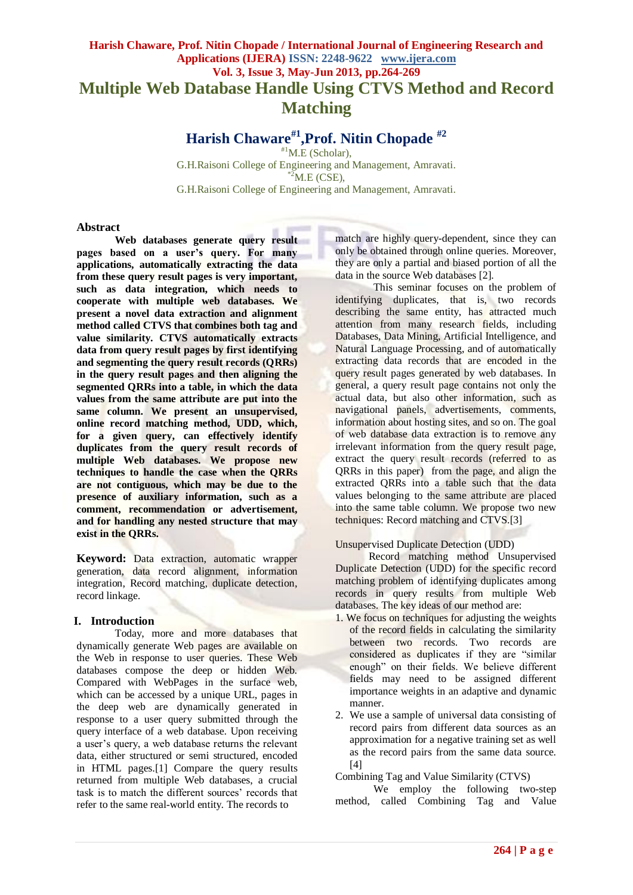# **Harish Chaware, Prof. Nitin Chopade / International Journal of Engineering Research and Applications (IJERA) ISSN: 2248-9622 www.ijera.com Vol. 3, Issue 3, May-Jun 2013, pp.264-269 Multiple Web Database Handle Using CTVS Method and Record Matching**

**Harish Chaware#1 ,Prof. Nitin Chopade #2**

 $H^{\text{th}}M.E$  (Scholar), G.H.Raisoni College of Engineering and Management, Amravati.  $2^2$ M.E (CSE), G.H.Raisoni College of Engineering and Management, Amravati.

## **Abstract**

**Web databases generate query result pages based on a user's query. For many applications, automatically extracting the data from these query result pages is very important, such as data integration, which needs to cooperate with multiple web databases. We present a novel data extraction and alignment method called CTVS that combines both tag and value similarity. CTVS automatically extracts data from query result pages by first identifying and segmenting the query result records (QRRs) in the query result pages and then aligning the segmented QRRs into a table, in which the data values from the same attribute are put into the same column. We present an unsupervised, online record matching method, UDD, which, for a given query, can effectively identify duplicates from the query result records of multiple Web databases. We propose new techniques to handle the case when the QRRs are not contiguous, which may be due to the presence of auxiliary information, such as a comment, recommendation or advertisement, and for handling any nested structure that may exist in the QRRs.** 

**Keyword:** Data extraction, automatic wrapper generation, data record alignment, information integration, Record matching, duplicate detection, record linkage.

#### **I. Introduction**

Today, more and more databases that dynamically generate Web pages are available on the Web in response to user queries. These Web databases compose the deep or hidden Web. Compared with WebPages in the surface web, which can be accessed by a unique URL, pages in the deep web are dynamically generated in response to a user query submitted through the query interface of a web database. Upon receiving a user's query, a web database returns the relevant data, either structured or semi structured, encoded in HTML pages.[1] Compare the query results returned from multiple Web databases, a crucial task is to match the different sources' records that refer to the same real-world entity. The records to

match are highly query-dependent, since they can only be obtained through online queries. Moreover, they are only a partial and biased portion of all the data in the source Web databases [2].

This seminar focuses on the problem of identifying duplicates, that is, two records describing the same entity, has attracted much attention from many research fields, including Databases, Data Mining, Artificial Intelligence, and Natural Language Processing, and of automatically extracting data records that are encoded in the query result pages generated by web databases. In general, a query result page contains not only the actual data, but also other information, such as navigational panels, advertisements, comments, information about hosting sites, and so on. The goal of web database data extraction is to remove any irrelevant information from the query result page, extract the query result records (referred to as QRRs in this paper) from the page, and align the extracted QRRs into a table such that the data values belonging to the same attribute are placed into the same table column. We propose two new techniques: Record matching and CTVS.[3]

# Unsupervised Duplicate Detection (UDD)

Record matching method Unsupervised Duplicate Detection (UDD) for the specific record matching problem of identifying duplicates among records in query results from multiple Web databases. The key ideas of our method are:

- 1. We focus on techniques for adjusting the weights of the record fields in calculating the similarity between two records. Two records are considered as duplicates if they are "similar enough" on their fields. We believe different fields may need to be assigned different importance weights in an adaptive and dynamic manner.
- 2. We use a sample of universal data consisting of record pairs from different data sources as an approximation for a negative training set as well as the record pairs from the same data source. [4]

Combining Tag and Value Similarity (CTVS)

We employ the following two-step method, called Combining Tag and Value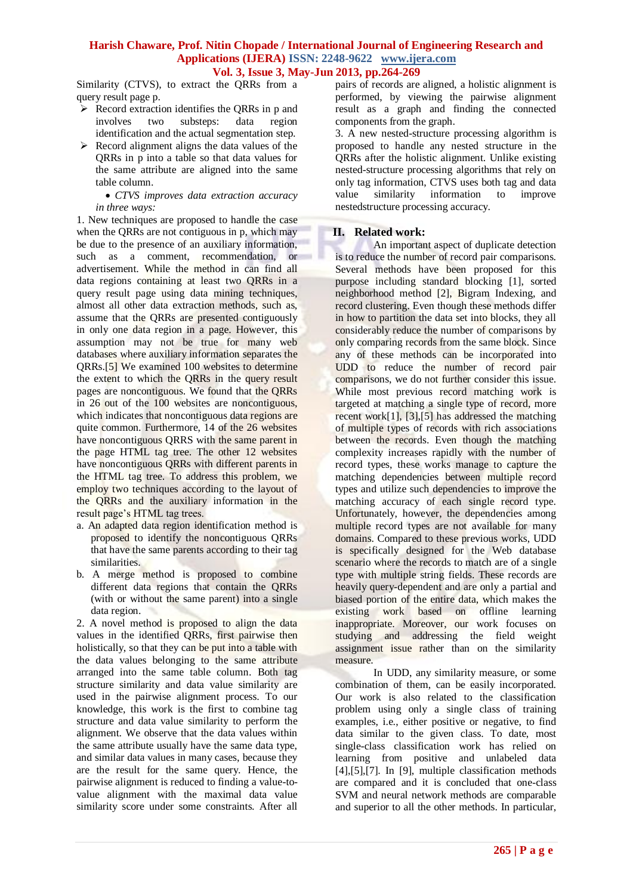Similarity (CTVS), to extract the QRRs from a query result page p.

- $\triangleright$  Record extraction identifies the QRRs in p and involves two substeps: data region identification and the actual segmentation step.
- $\triangleright$  Record alignment aligns the data values of the QRRs in p into a table so that data values for the same attribute are aligned into the same table column.

 *CTVS improves data extraction accuracy in three ways:*

1. New techniques are proposed to handle the case when the QRRs are not contiguous in p, which may be due to the presence of an auxiliary information, such as a comment, recommendation, or advertisement. While the method in can find all data regions containing at least two QRRs in a query result page using data mining techniques, almost all other data extraction methods, such as, assume that the QRRs are presented contiguously in only one data region in a page. However, this assumption may not be true for many web databases where auxiliary information separates the QRRs.[5] We examined 100 websites to determine the extent to which the QRRs in the query result pages are noncontiguous. We found that the QRRs in 26 out of the 100 websites are noncontiguous, which indicates that noncontiguous data regions are quite common. Furthermore, 14 of the 26 websites have noncontiguous QRRS with the same parent in the page HTML tag tree. The other 12 websites have noncontiguous QRRs with different parents in the HTML tag tree. To address this problem, we employ two techniques according to the layout of the QRRs and the auxiliary information in the result page's HTML tag trees.

- a. An adapted data region identification method is proposed to identify the noncontiguous QRRs that have the same parents according to their tag similarities.
- b. A merge method is proposed to combine different data regions that contain the QRRs (with or without the same parent) into a single data region.

2. A novel method is proposed to align the data values in the identified QRRs, first pairwise then holistically, so that they can be put into a table with the data values belonging to the same attribute arranged into the same table column. Both tag structure similarity and data value similarity are used in the pairwise alignment process. To our knowledge, this work is the first to combine tag structure and data value similarity to perform the alignment. We observe that the data values within the same attribute usually have the same data type, and similar data values in many cases, because they are the result for the same query. Hence, the pairwise alignment is reduced to finding a value-tovalue alignment with the maximal data value similarity score under some constraints. After all

pairs of records are aligned, a holistic alignment is performed, by viewing the pairwise alignment result as a graph and finding the connected components from the graph.

3. A new nested-structure processing algorithm is proposed to handle any nested structure in the QRRs after the holistic alignment. Unlike existing nested-structure processing algorithms that rely on only tag information, CTVS uses both tag and data value similarity information to improve nestedstructure processing accuracy.

# **II. Related work:**

An important aspect of duplicate detection is to reduce the number of record pair comparisons. Several methods have been proposed for this purpose including standard blocking [1], sorted neighborhood method [2], Bigram Indexing, and record clustering. Even though these methods differ in how to partition the data set into blocks, they all considerably reduce the number of comparisons by only comparing records from the same block. Since any of these methods can be incorporated into UDD to reduce the number of record pair comparisons, we do not further consider this issue. While most previous record matching work is targeted at matching a single type of record, more recent work[1], [3],[5] has addressed the matching of multiple types of records with rich associations between the records. Even though the matching complexity increases rapidly with the number of record types, these works manage to capture the matching dependencies between multiple record types and utilize such dependencies to improve the matching accuracy of each single record type. Unfortunately, however, the dependencies among multiple record types are not available for many domains. Compared to these previous works, UDD is specifically designed for the Web database scenario where the records to match are of a single type with multiple string fields. These records are heavily query-dependent and are only a partial and biased portion of the entire data, which makes the existing work based on offline learning inappropriate. Moreover, our work focuses on studying and addressing the field weight assignment issue rather than on the similarity measure.

In UDD, any similarity measure, or some combination of them, can be easily incorporated. Our work is also related to the classification problem using only a single class of training examples, i.e., either positive or negative, to find data similar to the given class. To date, most single-class classification work has relied on learning from positive and unlabeled data  $[4]$ , $[5]$ , $[7]$ . In  $[9]$ , multiple classification methods are compared and it is concluded that one-class SVM and neural network methods are comparable and superior to all the other methods. In particular,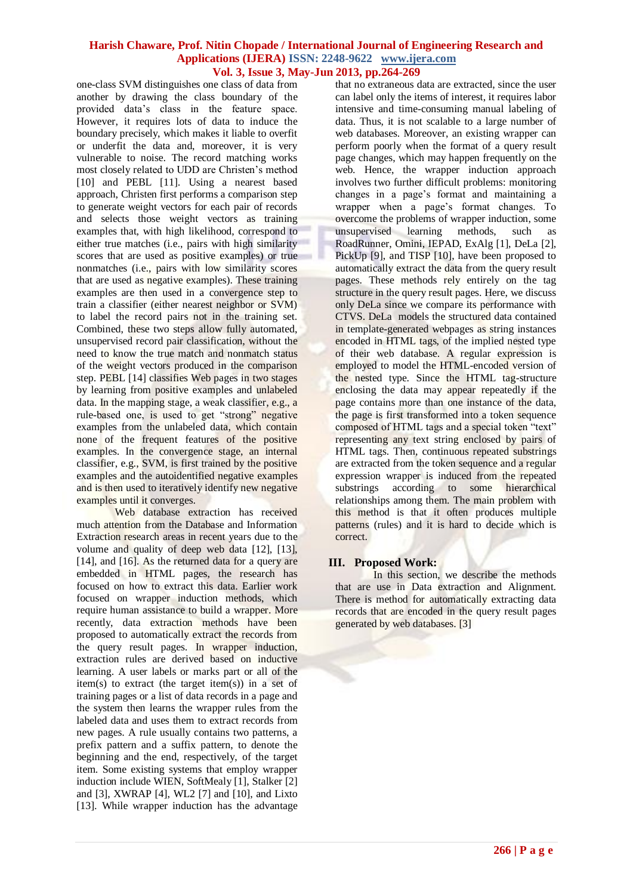one-class SVM distinguishes one class of data from another by drawing the class boundary of the provided data's class in the feature space. However, it requires lots of data to induce the boundary precisely, which makes it liable to overfit or underfit the data and, moreover, it is very vulnerable to noise. The record matching works most closely related to UDD are Christen's method [10] and PEBL [11]. Using a nearest based approach, Christen first performs a comparison step to generate weight vectors for each pair of records and selects those weight vectors as training examples that, with high likelihood, correspond to either true matches (i.e., pairs with high similarity scores that are used as positive examples) or true nonmatches (i.e., pairs with low similarity scores that are used as negative examples). These training examples are then used in a convergence step to train a classifier (either nearest neighbor or SVM) to label the record pairs not in the training set. Combined, these two steps allow fully automated, unsupervised record pair classification, without the need to know the true match and nonmatch status of the weight vectors produced in the comparison step. PEBL [14] classifies Web pages in two stages by learning from positive examples and unlabeled data. In the mapping stage, a weak classifier, e.g., a rule-based one, is used to get "strong" negative examples from the unlabeled data, which contain none of the frequent features of the positive examples. In the convergence stage, an internal classifier, e.g., SVM, is first trained by the positive examples and the autoidentified negative examples and is then used to iteratively identify new negative examples until it converges.

Web database extraction has received much attention from the Database and Information Extraction research areas in recent years due to the volume and quality of deep web data [12], [13], [14], and [16]. As the returned data for a query are embedded in HTML pages, the research has focused on how to extract this data. Earlier work focused on wrapper induction methods, which require human assistance to build a wrapper. More recently, data extraction methods have been proposed to automatically extract the records from the query result pages. In wrapper induction, extraction rules are derived based on inductive learning. A user labels or marks part or all of the item(s) to extract (the target item(s)) in a set of training pages or a list of data records in a page and the system then learns the wrapper rules from the labeled data and uses them to extract records from new pages. A rule usually contains two patterns, a prefix pattern and a suffix pattern, to denote the beginning and the end, respectively, of the target item. Some existing systems that employ wrapper induction include WIEN, SoftMealy [1], Stalker [2] and [3], XWRAP [4], WL2 [7] and [10], and Lixto [13]. While wrapper induction has the advantage

that no extraneous data are extracted, since the user can label only the items of interest, it requires labor intensive and time-consuming manual labeling of data. Thus, it is not scalable to a large number of web databases. Moreover, an existing wrapper can perform poorly when the format of a query result page changes, which may happen frequently on the web. Hence, the wrapper induction approach involves two further difficult problems: monitoring changes in a page's format and maintaining a wrapper when a page's format changes. To overcome the problems of wrapper induction, some unsupervised learning methods, such as RoadRunner, Omini, IEPAD, ExAlg [1], DeLa [2], PickUp [9], and TISP [10], have been proposed to automatically extract the data from the query result pages. These methods rely entirely on the tag structure in the query result pages. Here, we discuss only DeLa since we compare its performance with CTVS. DeLa models the structured data contained in template-generated webpages as string instances encoded in HTML tags, of the implied nested type of their web database. A regular expression is employed to model the HTML-encoded version of the nested type. Since the HTML tag-structure enclosing the data may appear repeatedly if the page contains more than one instance of the data, the page is first transformed into a token sequence composed of HTML tags and a special token "text" representing any text string enclosed by pairs of HTML tags. Then, continuous repeated substrings are extracted from the token sequence and a regular expression wrapper is induced from the repeated substrings according to some hierarchical relationships among them. The main problem with this method is that it often produces multiple patterns (rules) and it is hard to decide which is correct.

#### **III. Proposed Work:**

In this section, we describe the methods that are use in Data extraction and Alignment. There is method for automatically extracting data records that are encoded in the query result pages generated by web databases. [3]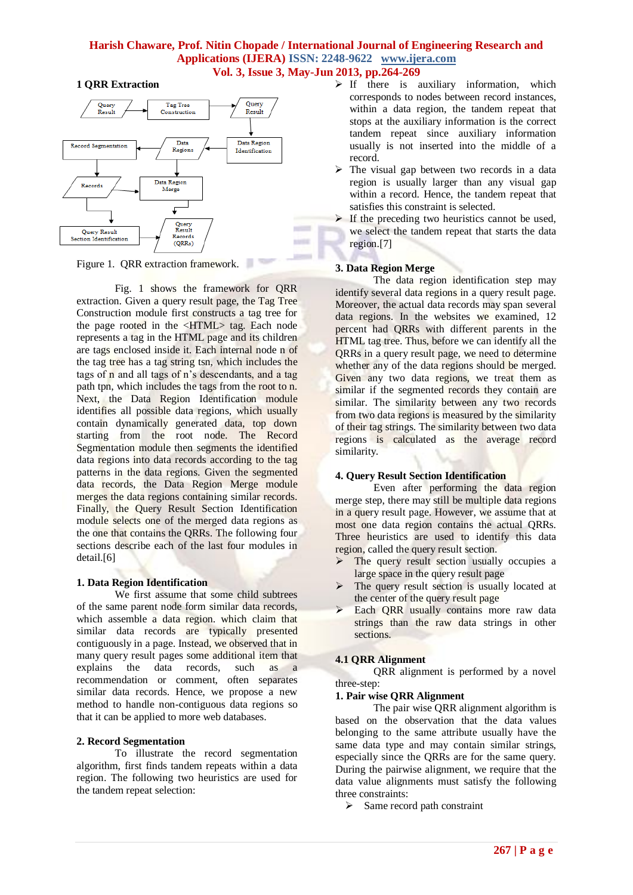$\frac{1}{2}$ 

**Winter** 

#### **1 QRR Extraction**



Figure 1. QRR extraction framework.

Fig. 1 shows the framework for QRR extraction. Given a query result page, the Tag Tree Construction module first constructs a tag tree for the page rooted in the <HTML> tag. Each node represents a tag in the HTML page and its children are tags enclosed inside it. Each internal node n of the tag tree has a tag string tsn, which includes the tags of n and all tags of n's descendants, and a tag path tpn, which includes the tags from the root to n. Next, the Data Region Identification module identifies all possible data regions, which usually contain dynamically generated data, top down starting from the root node. The Record Segmentation module then segments the identified data regions into data records according to the tag patterns in the data regions. Given the segmented data records, the Data Region Merge module merges the data regions containing similar records. Finally, the Query Result Section Identification module selects one of the merged data regions as the one that contains the QRRs. The following four sections describe each of the last four modules in detail.[6]

# **1. Data Region Identification**

We first assume that some child subtrees of the same parent node form similar data records, which assemble a data region. which claim that similar data records are typically presented contiguously in a page. Instead, we observed that in many query result pages some additional item that explains the data records, such as a recommendation or comment, often separates similar data records. Hence, we propose a new method to handle non-contiguous data regions so that it can be applied to more web databases.

#### **2. Record Segmentation**

To illustrate the record segmentation algorithm, first finds tandem repeats within a data region. The following two heuristics are used for the tandem repeat selection:

- $\triangleright$  If there is auxiliary information, which corresponds to nodes between record instances, within a data region, the tandem repeat that stops at the auxiliary information is the correct tandem repeat since auxiliary information usually is not inserted into the middle of a record.
- $\triangleright$  The visual gap between two records in a data region is usually larger than any visual gap within a record. Hence, the tandem repeat that satisfies this constraint is selected.
- $\triangleright$  If the preceding two heuristics cannot be used, we select the tandem repeat that starts the data region.[7]

#### **3. Data Region Merge**

The data region identification step may identify several data regions in a query result page. Moreover, the actual data records may span several data regions. In the websites we examined, 12 percent had QRRs with different parents in the HTML tag tree. Thus, before we can identify all the QRRs in a query result page, we need to determine whether any of the data regions should be merged. Given any two data regions, we treat them as similar if the segmented records they contain are similar. The similarity between any two records from two data regions is measured by the similarity of their tag strings. The similarity between two data regions is calculated as the average record similarity.

## **4. Query Result Section Identification**

Even after performing the data region merge step, there may still be multiple data regions in a query result page. However, we assume that at most one data region contains the actual QRRs. Three heuristics are used to identify this data region, called the query result section.

- The query result section usually occupies a large space in the query result page
- $\triangleright$  The query result section is usually located at the center of the query result page
- Each QRR usually contains more raw data strings than the raw data strings in other sections.

#### **4.1 QRR Alignment**

QRR alignment is performed by a novel three-step:

#### **1. Pair wise QRR Alignment**

The pair wise QRR alignment algorithm is based on the observation that the data values belonging to the same attribute usually have the same data type and may contain similar strings, especially since the QRRs are for the same query. During the pairwise alignment, we require that the data value alignments must satisfy the following three constraints:

 $\triangleright$  Same record path constraint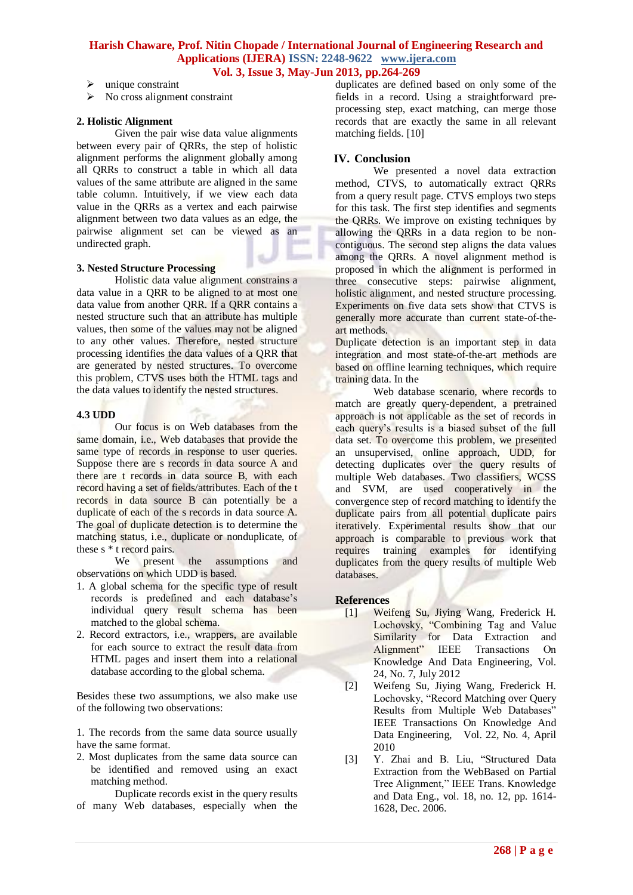- $\triangleright$  unique constraint
- $\triangleright$  No cross alignment constraint

#### **2. Holistic Alignment**

Given the pair wise data value alignments between every pair of QRRs, the step of holistic alignment performs the alignment globally among all QRRs to construct a table in which all data values of the same attribute are aligned in the same table column. Intuitively, if we view each data value in the QRRs as a vertex and each pairwise alignment between two data values as an edge, the pairwise alignment set can be viewed as an undirected graph.

#### **3. Nested Structure Processing**

Holistic data value alignment constrains a data value in a QRR to be aligned to at most one data value from another QRR. If a QRR contains a nested structure such that an attribute has multiple values, then some of the values may not be aligned to any other values. Therefore, nested structure processing identifies the data values of a QRR that are generated by nested structures. To overcome this problem, CTVS uses both the HTML tags and the data values to identify the nested structures.

#### **4.3 UDD**

Our focus is on Web databases from the same domain, i.e., Web databases that provide the same type of records in response to user queries. Suppose there are s records in data source A and there are t records in data source B, with each record having a set of fields/attributes. Each of the t records in data source B can potentially be a duplicate of each of the s records in data source A. The goal of duplicate detection is to determine the matching status, i.e., duplicate or nonduplicate, of these s \* t record pairs.

We present the assumptions and observations on which UDD is based.

- 1. A global schema for the specific type of result records is predefined and each database's individual query result schema has been matched to the global schema.
- 2. Record extractors, i.e., wrappers, are available for each source to extract the result data from HTML pages and insert them into a relational database according to the global schema.

Besides these two assumptions, we also make use of the following two observations:

1. The records from the same data source usually have the same format.

2. Most duplicates from the same data source can be identified and removed using an exact matching method.

Duplicate records exist in the query results of many Web databases, especially when the duplicates are defined based on only some of the fields in a record. Using a straightforward preprocessing step, exact matching, can merge those records that are exactly the same in all relevant matching fields. [10]

## **IV. Conclusion**

We presented a novel data extraction method, CTVS, to automatically extract QRRs from a query result page. CTVS employs two steps for this task. The first step identifies and segments the QRRs. We improve on existing techniques by allowing the QRRs in a data region to be noncontiguous. The second step aligns the data values among the QRRs. A novel alignment method is proposed in which the alignment is performed in three consecutive steps: pairwise alignment, holistic alignment, and nested structure processing. Experiments on five data sets show that CTVS is generally more accurate than current state-of-theart methods.

Duplicate detection is an important step in data integration and most state-of-the-art methods are based on offline learning techniques, which require training data. In the

Web database scenario, where records to match are greatly query-dependent, a pretrained approach is not applicable as the set of records in each query's results is a biased subset of the full data set. To overcome this problem, we presented an unsupervised, online approach, UDD, for detecting duplicates over the query results of multiple Web databases. Two classifiers, WCSS and SVM, are used cooperatively in the convergence step of record matching to identify the duplicate pairs from all potential duplicate pairs iteratively. Experimental results show that our approach is comparable to previous work that requires training examples for identifying duplicates from the query results of multiple Web databases.

#### **References**

- [1] Weifeng Su, Jiying Wang, Frederick H. Lochovsky, "Combining Tag and Value Similarity for Data Extraction and Alignment" IEEE Transactions On Knowledge And Data Engineering, Vol. 24, No. 7, July 2012
- [2] Weifeng Su, Jiying Wang, Frederick H. Lochovsky, "Record Matching over Query Results from Multiple Web Databases" IEEE Transactions On Knowledge And Data Engineering, Vol. 22, No. 4, April 2010
- [3] Y. Zhai and B. Liu, "Structured Data Extraction from the WebBased on Partial Tree Alignment," IEEE Trans. Knowledge and Data Eng., vol. 18, no. 12, pp. 1614- 1628, Dec. 2006.